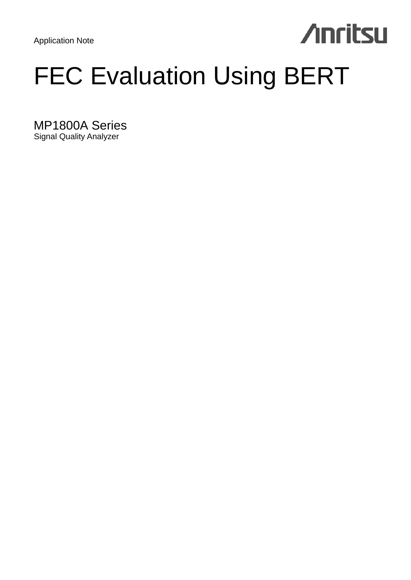Application Note

# **Anritsu**

# FEC Evaluation Using BERT

MP1800A Series Signal Quality Analyzer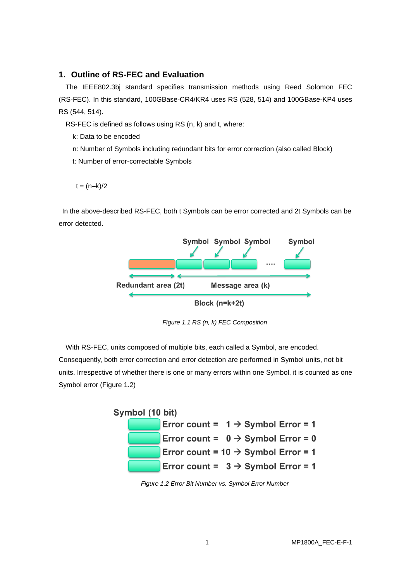# **1. Outline of RS-FEC and Evaluation**

The IEEE802.3bj standard specifies transmission methods using Reed Solomon FEC (RS-FEC). In this standard, 100GBase-CR4/KR4 uses RS (528, 514) and 100GBase-KP4 uses RS (544, 514).

RS-FEC is defined as follows using RS (n, k) and t, where:

k: Data to be encoded

- n: Number of Symbols including redundant bits for error correction (also called Block)
- t: Number of error-correctable Symbols

 $t = (n-k)/2$ 

In the above-described RS-FEC, both t Symbols can be error corrected and 2t Symbols can be error detected.



*Figure 1.1 RS (n, k) FEC Composition*

With RS-FEC, units composed of multiple bits, each called a Symbol, are encoded. Consequently, both error correction and error detection are performed in Symbol units, not bit units. Irrespective of whether there is one or many errors within one Symbol, it is counted as one Symbol error (Figure 1.2)

| Symbol (10 bit) |  |  |  |  |  |                                                 |
|-----------------|--|--|--|--|--|-------------------------------------------------|
|                 |  |  |  |  |  | Error count = $1 \rightarrow$ Symbol Error = 1  |
|                 |  |  |  |  |  | Error count = $0 \rightarrow$ Symbol Error = 0  |
|                 |  |  |  |  |  | Error count = $10 \rightarrow$ Symbol Error = 1 |
|                 |  |  |  |  |  | Error count = $3 \rightarrow$ Symbol Error = 1  |

*Figure 1.2 Error Bit Number vs. Symbol Error Number*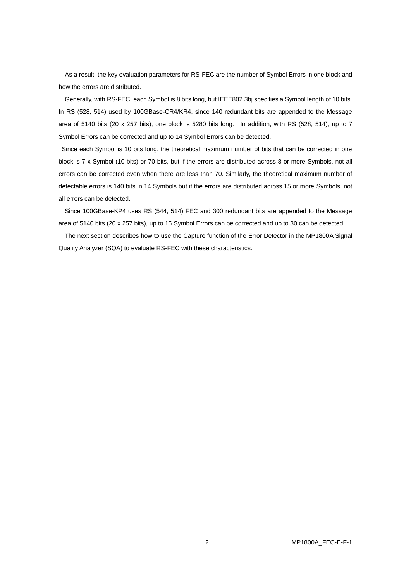As a result, the key evaluation parameters for RS-FEC are the number of Symbol Errors in one block and how the errors are distributed.

Generally, with RS-FEC, each Symbol is 8 bits long, but IEEE802.3bj specifies a Symbol length of 10 bits. In RS (528, 514) used by 100GBase-CR4/KR4, since 140 redundant bits are appended to the Message area of 5140 bits (20 x 257 bits), one block is 5280 bits long. In addition, with RS (528, 514), up to 7 Symbol Errors can be corrected and up to 14 Symbol Errors can be detected.

Since each Symbol is 10 bits long, the theoretical maximum number of bits that can be corrected in one block is 7 x Symbol (10 bits) or 70 bits, but if the errors are distributed across 8 or more Symbols, not all errors can be corrected even when there are less than 70. Similarly, the theoretical maximum number of detectable errors is 140 bits in 14 Symbols but if the errors are distributed across 15 or more Symbols, not all errors can be detected.

Since 100GBase-KP4 uses RS (544, 514) FEC and 300 redundant bits are appended to the Message area of 5140 bits (20 x 257 bits), up to 15 Symbol Errors can be corrected and up to 30 can be detected.

The next section describes how to use the Capture function of the Error Detector in the MP1800A Signal Quality Analyzer (SQA) to evaluate RS-FEC with these characteristics.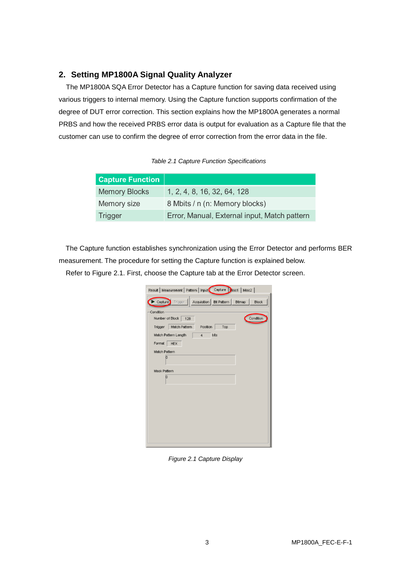# **2. Setting MP1800A Signal Quality Analyzer**

The MP1800A SQA Error Detector has a Capture function for saving data received using various triggers to internal memory. Using the Capture function supports confirmation of the degree of DUT error correction. This section explains how the MP1800A generates a normal PRBS and how the received PRBS error data is output for evaluation as a Capture file that the customer can use to confirm the degree of error correction from the error data in the file.

*Table 2.1 Capture Function Specifications*

| <b>Capture Function</b> |                                              |
|-------------------------|----------------------------------------------|
| <b>Memory Blocks</b>    | 1, 2, 4, 8, 16, 32, 64, 128                  |
| Memory size             | 8 Mbits / n (n: Memory blocks)               |
| <b>Trigger</b>          | Error, Manual, External input, Match pattern |

The Capture function establishes synchronization using the Error Detector and performs BER measurement. The procedure for setting the Capture function is explained below.

Refer to Figure 2.1. First, choose the Capture tab at the Error Detector screen.

| Result   Measurement   Pattern   Input   Capture   Misc1   Misc2     |
|----------------------------------------------------------------------|
| Capture Trigger   Acquisition   Bit Pattern   Bitmap<br><b>Block</b> |
| Condition                                                            |
| Condition<br>Number of Block   128                                   |
| Match Pattern<br>Position<br>Trigger<br>Top                          |
| Match Pattern Length<br>bits<br>$\overline{4}$                       |
| Format<br>HEX                                                        |
| Match Pattern                                                        |
| 'n                                                                   |
| Mask Pattern                                                         |
| b                                                                    |
|                                                                      |
|                                                                      |
|                                                                      |
|                                                                      |
|                                                                      |
|                                                                      |
|                                                                      |
|                                                                      |

*Figure 2.1 Capture Display*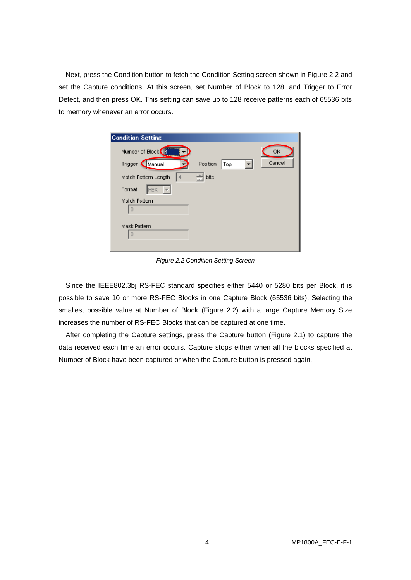Next, press the Condition button to fetch the Condition Setting screen shown in Figure 2.2 and set the Capture conditions. At this screen, set Number of Block to 128, and Trigger to Error Detect, and then press OK. This setting can save up to 128 receive patterns each of 65536 bits to memory whenever an error occurs.

| <b>Condition Setting</b>               |        |
|----------------------------------------|--------|
| Number of Block                        | OK     |
| Trigger<br>Position<br>Manual<br>Top   | Cancel |
| 츾<br>bits<br>4<br>Match Pattern Length |        |
| Format<br>HEX                          |        |
| Match Pattern<br>I٥                    |        |
| Mask Pattern<br>$\overline{0}$         |        |

*Figure 2.2 Condition Setting Screen*

Since the IEEE802.3bj RS-FEC standard specifies either 5440 or 5280 bits per Block, it is possible to save 10 or more RS-FEC Blocks in one Capture Block (65536 bits). Selecting the smallest possible value at Number of Block (Figure 2.2) with a large Capture Memory Size increases the number of RS-FEC Blocks that can be captured at one time.

After completing the Capture settings, press the Capture button (Figure 2.1) to capture the data received each time an error occurs. Capture stops either when all the blocks specified at Number of Block have been captured or when the Capture button is pressed again.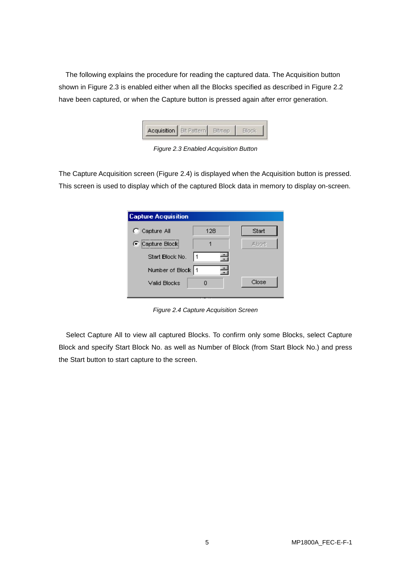The following explains the procedure for reading the captured data. The Acquisition button shown in Figure 2.3 is enabled either when all the Blocks specified as described in Figure 2.2 have been captured, or when the Capture button is pressed again after error generation.



*Figure 2.3 Enabled Acquisition Button*

The Capture Acquisition screen (Figure 2.4) is displayed when the Acquisition button is pressed. This screen is used to display which of the captured Block data in memory to display on-screen.

| <b>Capture Acquisition</b> |     |              |
|----------------------------|-----|--------------|
| C Capture All              | 128 | Start        |
| C Capture Block            |     | <b>Abort</b> |
| Start Block No.            |     |              |
| Number of Block   1        |     |              |
| Valid Blocks               |     | Close        |
|                            |     |              |

*Figure 2.4 Capture Acquisition Screen*

Select Capture All to view all captured Blocks. To confirm only some Blocks, select Capture Block and specify Start Block No. as well as Number of Block (from Start Block No.) and press the Start button to start capture to the screen.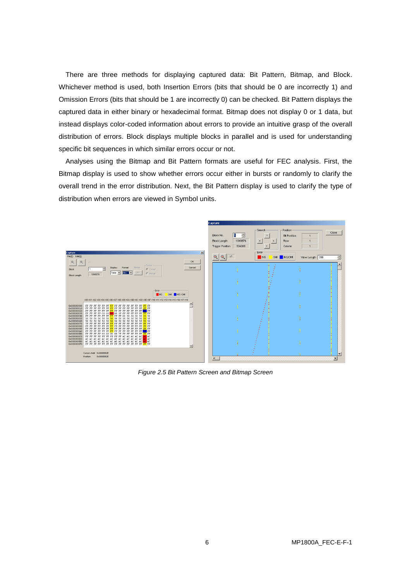There are three methods for displaying captured data: Bit Pattern, Bitmap, and Block. Whichever method is used, both Insertion Errors (bits that should be 0 are incorrectly 1) and Omission Errors (bits that should be 1 are incorrectly 0) can be checked. Bit Pattern displays the captured data in either binary or hexadecimal format. Bitmap does not display 0 or 1 data, but instead displays color-coded information about errors to provide an intuitive grasp of the overall distribution of errors. Block displays multiple blocks in parallel and is used for understanding specific bit sequences in which similar errors occur or not.

Analyses using the Bitmap and Bit Pattern formats are useful for FEC analysis. First, the Bitmap display is used to show whether errors occur either in bursts or randomly to clarify the overall trend in the error distribution. Next, the Bit Pattern display is used to clarify the type of distribution when errors are viewed in Symbol units.



*Figure 2.5 Bit Pattern Screen and Bitmap Screen*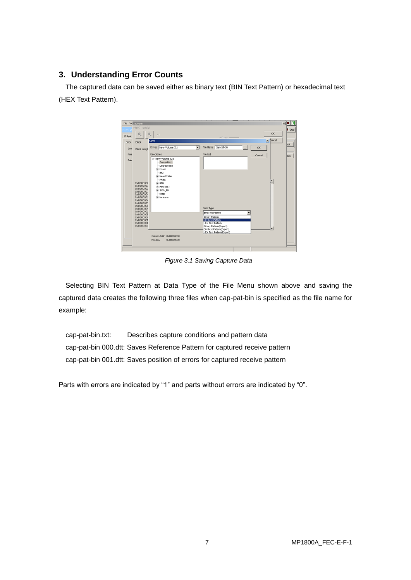# **3. Understanding Error Counts**

The captured data can be saved either as binary text (BIN Text Pattern) or hexadecimal text (HEX Text Pattern).



*Figure 3.1 Saving Capture Data*

Selecting BIN Text Pattern at Data Type of the File Menu shown above and saving the captured data creates the following three files when cap-pat-bin is specified as the file name for example:

cap-pat-bin.txt: Describes capture conditions and pattern data cap-pat-bin 000.dtt: Saves Reference Pattern for captured receive pattern cap-pat-bin 001.dtt: Saves position of errors for captured receive pattern

Parts with errors are indicated by "1" and parts without errors are indicated by "0".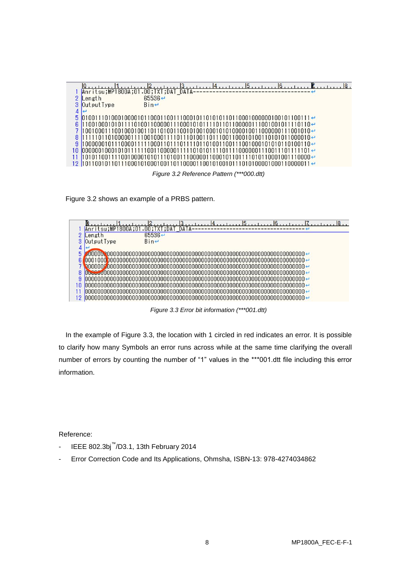|   |                                         | 311                     |
|---|-----------------------------------------|-------------------------|
|   | Anritsu; MP1800A; 01.00; TXT; DAT DATA- |                         |
|   | Length                                  | $65536 \leftrightarrow$ |
|   | Output Type                             | $Bin \leftarrow$        |
| 4 |                                         |                         |
|   |                                         |                         |
|   |                                         |                         |
|   |                                         |                         |
|   |                                         |                         |
|   |                                         |                         |
|   |                                         |                         |
|   |                                         |                         |
|   |                                         |                         |
|   |                                         |                         |

*Figure 3.2 Reference Pattern (\*\*\*000.dtt)*





*Figure 3.3 Error bit information (\*\*\*001.dtt)*

In the example of Figure 3.3, the location with 1 circled in red indicates an error. It is possible to clarify how many Symbols an error runs across while at the same time clarifying the overall number of errors by counting the number of "1" values in the \*\*\*001.dtt file including this error information.

Reference:

- IEEE 802.3bj™ /D3.1, 13th February 2014
- Error Correction Code and Its Applications, Ohmsha, ISBN-13: 978-4274034862